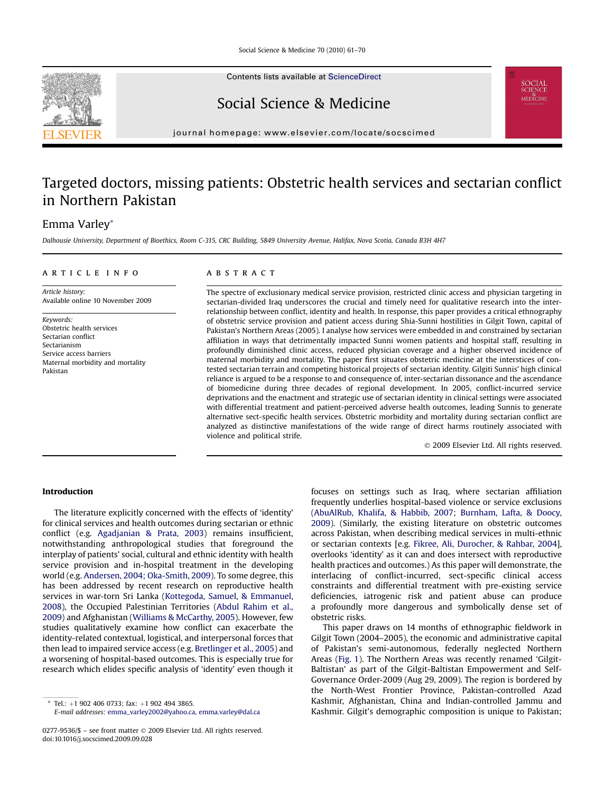Contents lists available at [ScienceDirect](www.sciencedirect.com/science/journal/02779536)

# Social Science & Medicine

journal homepage: [www.elsevier.com/locate/socscimed](http://www.elsevier.com/locate/socscimed)

## Targeted doctors, missing patients: Obstetric health services and sectarian conflict in Northern Pakistan

## Emma Varley\*

Dalhousie University, Department of Bioethics, Room C-315, CRC Building, 5849 University Avenue, Halifax, Nova Scotia, Canada B3H 4H7

### article info

Article history: Available online 10 November 2009

Keywords: Obstetric health services Sectarian conflict Sectarianism Service access barriers Maternal morbidity and mortality Pakistan

## **ABSTRACT**

The spectre of exclusionary medical service provision, restricted clinic access and physician targeting in sectarian-divided Iraq underscores the crucial and timely need for qualitative research into the interrelationship between conflict, identity and health. In response, this paper provides a critical ethnography of obstetric service provision and patient access during Shia-Sunni hostilities in Gilgit Town, capital of Pakistan's Northern Areas (2005). I analyse how services were embedded in and constrained by sectarian affiliation in ways that detrimentally impacted Sunni women patients and hospital staff, resulting in profoundly diminished clinic access, reduced physician coverage and a higher observed incidence of maternal morbidity and mortality. The paper first situates obstetric medicine at the interstices of contested sectarian terrain and competing historical projects of sectarian identity. Gilgiti Sunnis' high clinical reliance is argued to be a response to and consequence of, inter-sectarian dissonance and the ascendance of biomedicine during three decades of regional development. In 2005, conflict-incurred service deprivations and the enactment and strategic use of sectarian identity in clinical settings were associated with differential treatment and patient-perceived adverse health outcomes, leading Sunnis to generate alternative sect-specific health services. Obstetric morbidity and mortality during sectarian conflict are analyzed as distinctive manifestations of the wide range of direct harms routinely associated with violence and political strife.

- 2009 Elsevier Ltd. All rights reserved.

**SOCIAL**<br>SCIENCE **MEDICINE** 

## Introduction

The literature explicitly concerned with the effects of 'identity' for clinical services and health outcomes during sectarian or ethnic conflict (e.g. [Agadjanian & Prata, 2003](#page-9-0)) remains insufficient, notwithstanding anthropological studies that foreground the interplay of patients' social, cultural and ethnic identity with health service provision and in-hospital treatment in the developing world (e.g. [Andersen, 2004; Oka-Smith, 2009\)](#page-9-0). To some degree, this has been addressed by recent research on reproductive health services in war-torn Sri Lanka [\(Kottegoda, Samuel, & Emmanuel,](#page-9-0) [2008\)](#page-9-0), the Occupied Palestinian Territories [\(Abdul Rahim et al.,](#page-9-0) [2009\)](#page-9-0) and Afghanistan ([Williams & McCarthy, 2005](#page-9-0)). However, few studies qualitatively examine how conflict can exacerbate the identity-related contextual, logistical, and interpersonal forces that then lead to impaired service access (e.g. [Bretlinger et al., 2005\)](#page-9-0) and a worsening of hospital-based outcomes. This is especially true for research which elides specific analysis of 'identity' even though it

E-mail addresses: [emma\\_varley2002@yahoo.ca](mailto:emma_varley2002@yahoo.ca), [emma.varley@dal.ca](mailto:emma.varley@dal.ca)

focuses on settings such as Iraq, where sectarian affiliation frequently underlies hospital-based violence or service exclusions ([AbuAlRub, Khalifa, & Habbib, 2007; Burnham, Lafta, & Doocy,](#page-9-0) [2009\)](#page-9-0). (Similarly, the existing literature on obstetric outcomes across Pakistan, when describing medical services in multi-ethnic or sectarian contexts [e.g. [Fikree, Ali, Durocher, & Rahbar, 2004\]](#page-9-0), overlooks 'identity' as it can and does intersect with reproductive health practices and outcomes.) As this paper will demonstrate, the interlacing of conflict-incurred, sect-specific clinical access constraints and differential treatment with pre-existing service deficiencies, iatrogenic risk and patient abuse can produce a profoundly more dangerous and symbolically dense set of obstetric risks.

This paper draws on 14 months of ethnographic fieldwork in Gilgit Town (2004–2005), the economic and administrative capital of Pakistan's semi-autonomous, federally neglected Northern Areas ([Fig. 1](#page-1-0)). The Northern Areas was recently renamed 'Gilgit-Baltistan' as part of the Gilgit-Baltistan Empowerment and Self-Governance Order-2009 (Aug 29, 2009). The region is bordered by the North-West Frontier Province, Pakistan-controlled Azad Kashmir, Afghanistan, China and Indian-controlled Jammu and Kashmir. Gilgit's demographic composition is unique to Pakistan;



Tel.:  $+1$  902 406 0733; fax:  $+1$  902 494 3865.

<sup>0277-9536/\$ –</sup> see front matter © 2009 Elsevier Ltd. All rights reserved. doi:10.1016/j.socscimed.2009.09.028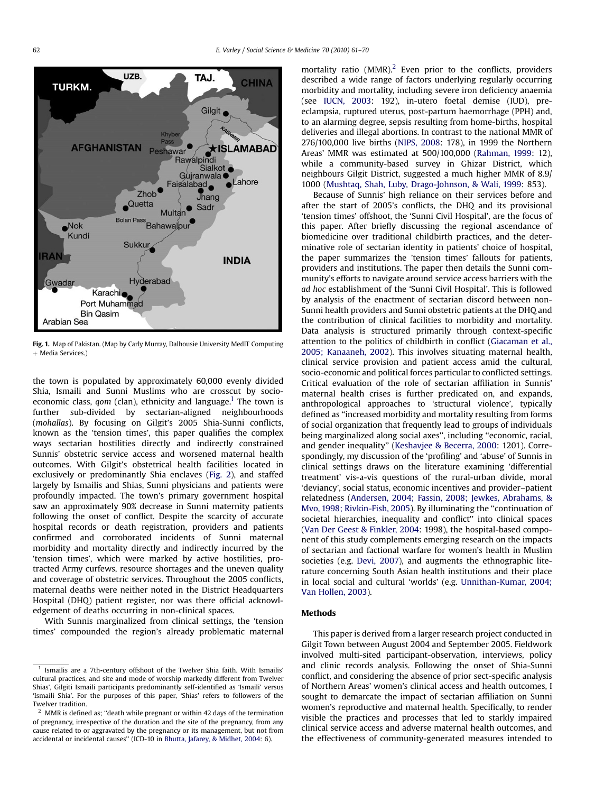<span id="page-1-0"></span>

Fig. 1. Map of Pakistan. (Map by Carly Murray, Dalhousie University MedIT Computing  $+$  Media Services.)

the town is populated by approximately 60,000 evenly divided Shia, Ismaili and Sunni Muslims who are crosscut by socioeconomic class,  $qom$  (clan), ethnicity and language.<sup>1</sup> The town is further sub-divided by sectarian-aligned neighbourhoods (mohallas). By focusing on Gilgit's 2005 Shia-Sunni conflicts, known as the 'tension times', this paper qualifies the complex ways sectarian hostilities directly and indirectly constrained Sunnis' obstetric service access and worsened maternal health outcomes. With Gilgit's obstetrical health facilities located in exclusively or predominantly Shia enclaves [\(Fig. 2](#page-2-0)), and staffed largely by Ismailis and Shias, Sunni physicians and patients were profoundly impacted. The town's primary government hospital saw an approximately 90% decrease in Sunni maternity patients following the onset of conflict. Despite the scarcity of accurate hospital records or death registration, providers and patients confirmed and corroborated incidents of Sunni maternal morbidity and mortality directly and indirectly incurred by the 'tension times', which were marked by active hostilities, protracted Army curfews, resource shortages and the uneven quality and coverage of obstetric services. Throughout the 2005 conflicts, maternal deaths were neither noted in the District Headquarters Hospital (DHQ) patient register, nor was there official acknowledgement of deaths occurring in non-clinical spaces.

With Sunnis marginalized from clinical settings, the 'tension times' compounded the region's already problematic maternal mortality ratio  $(MMR)<sup>2</sup>$  Even prior to the conflicts, providers described a wide range of factors underlying regularly occurring morbidity and mortality, including severe iron deficiency anaemia (see [IUCN, 2003:](#page-9-0) 192), in-utero foetal demise (IUD), preeclampsia, ruptured uterus, post-partum haemorrhage (PPH) and, to an alarming degree, sepsis resulting from home-births, hospital deliveries and illegal abortions. In contrast to the national MMR of 276/100,000 live births [\(NIPS, 2008:](#page-9-0) 178), in 1999 the Northern Areas' MMR was estimated at 500/100,000 ([Rahman, 1999](#page-9-0): 12), while a community-based survey in Ghizar District, which neighbours Gilgit District, suggested a much higher MMR of 8.9/ 1000 ([Mushtaq, Shah, Luby, Drago-Johnson, & Wali, 1999:](#page-9-0) 853).

Because of Sunnis' high reliance on their services before and after the start of 2005's conflicts, the DHQ and its provisional 'tension times' offshoot, the 'Sunni Civil Hospital', are the focus of this paper. After briefly discussing the regional ascendance of biomedicine over traditional childbirth practices, and the determinative role of sectarian identity in patients' choice of hospital, the paper summarizes the 'tension times' fallouts for patients, providers and institutions. The paper then details the Sunni community's efforts to navigate around service access barriers with the ad hoc establishment of the 'Sunni Civil Hospital'. This is followed by analysis of the enactment of sectarian discord between non-Sunni health providers and Sunni obstetric patients at the DHQ and the contribution of clinical facilities to morbidity and mortality. Data analysis is structured primarily through context-specific attention to the politics of childbirth in conflict [\(Giacaman et al.,](#page-9-0) [2005; Kanaaneh, 2002\)](#page-9-0). This involves situating maternal health, clinical service provision and patient access amid the cultural, socio-economic and political forces particular to conflicted settings. Critical evaluation of the role of sectarian affiliation in Sunnis' maternal health crises is further predicated on, and expands, anthropological approaches to 'structural violence', typically defined as ''increased morbidity and mortality resulting from forms of social organization that frequently lead to groups of individuals being marginalized along social axes'', including ''economic, racial, and gender inequality'' [\(Keshavjee & Becerra, 2000](#page-9-0): 1201). Correspondingly, my discussion of the 'profiling' and 'abuse' of Sunnis in clinical settings draws on the literature examining 'differential treatment' vis-a-vis questions of the rural-urban divide, moral 'deviancy', social status, economic incentives and provider–patient relatedness [\(Andersen, 2004; Fassin, 2008; Jewkes, Abrahams, &](#page-9-0) [Mvo, 1998; Rivkin-Fish, 2005\)](#page-9-0). By illuminating the ''continuation of societal hierarchies, inequality and conflict'' into clinical spaces ([Van Der Geest & Finkler, 2004:](#page-9-0) 1998), the hospital-based component of this study complements emerging research on the impacts of sectarian and factional warfare for women's health in Muslim societies (e.g. [Devi, 2007](#page-9-0)), and augments the ethnographic literature concerning South Asian health institutions and their place in local social and cultural 'worlds' (e.g. [Unnithan-Kumar, 2004;](#page-9-0) [Van Hollen, 2003](#page-9-0)).

## Methods

This paper is derived from a larger research project conducted in Gilgit Town between August 2004 and September 2005. Fieldwork involved multi-sited participant-observation, interviews, policy and clinic records analysis. Following the onset of Shia-Sunni conflict, and considering the absence of prior sect-specific analysis of Northern Areas' women's clinical access and health outcomes, I sought to demarcate the impact of sectarian affiliation on Sunni women's reproductive and maternal health. Specifically, to render visible the practices and processes that led to starkly impaired clinical service access and adverse maternal health outcomes, and the effectiveness of community-generated measures intended to

 $1$  Ismailis are a 7th-century offshoot of the Twelver Shia faith. With Ismailis' cultural practices, and site and mode of worship markedly different from Twelver Shias', Gilgiti Ismaili participants predominantly self-identified as 'Ismaili' versus 'Ismaili Shia'. For the purposes of this paper, 'Shias' refers to followers of the Twelver tradition.

 $2$  MMR is defined as; "death while pregnant or within 42 days of the termination of pregnancy, irrespective of the duration and the site of the pregnancy, from any cause related to or aggravated by the pregnancy or its management, but not from accidental or incidental causes'' (ICD-10 in [Bhutta, Jafarey, & Midhet, 2004](#page-9-0): 6).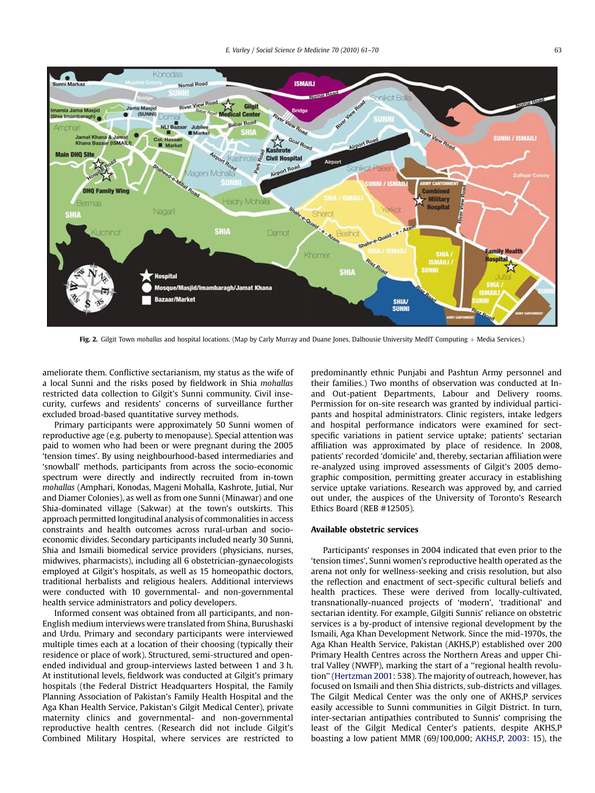<span id="page-2-0"></span>

Fig. 2. Gilgit Town mohallas and hospital locations. (Map by Carly Murray and Duane Jones, Dalhousie University MedIT Computing  $+$  Media Services.)

ameliorate them. Conflictive sectarianism, my status as the wife of a local Sunni and the risks posed by fieldwork in Shia mohallas restricted data collection to Gilgit's Sunni community. Civil insecurity, curfews and residents' concerns of surveillance further excluded broad-based quantitative survey methods.

Primary participants were approximately 50 Sunni women of reproductive age (e.g. puberty to menopause). Special attention was paid to women who had been or were pregnant during the 2005 'tension times'. By using neighbourhood-based intermediaries and 'snowball' methods, participants from across the socio-economic spectrum were directly and indirectly recruited from in-town mohallas (Amphari, Konodas, Mageni Mohalla, Kashrote, Jutial, Nur and Diamer Colonies), as well as from one Sunni (Minawar) and one Shia-dominated village (Sakwar) at the town's outskirts. This approach permitted longitudinal analysis of commonalities in access constraints and health outcomes across rural-urban and socioeconomic divides. Secondary participants included nearly 30 Sunni, Shia and Ismaili biomedical service providers (physicians, nurses, midwives, pharmacists), including all 6 obstetrician-gynaecologists employed at Gilgit's hospitals, as well as 15 homeopathic doctors, traditional herbalists and religious healers. Additional interviews were conducted with 10 governmental- and non-governmental health service administrators and policy developers.

Informed consent was obtained from all participants, and non-English medium interviews were translated from Shina, Burushaski and Urdu. Primary and secondary participants were interviewed multiple times each at a location of their choosing (typically their residence or place of work). Structured, semi-structured and openended individual and group-interviews lasted between 1 and 3 h. At institutional levels, fieldwork was conducted at Gilgit's primary hospitals (the Federal District Headquarters Hospital, the Family Planning Association of Pakistan's Family Health Hospital and the Aga Khan Health Service, Pakistan's Gilgit Medical Center), private maternity clinics and governmental- and non-governmental reproductive health centres. (Research did not include Gilgit's Combined Military Hospital, where services are restricted to

predominantly ethnic Punjabi and Pashtun Army personnel and their families.) Two months of observation was conducted at Inand Out-patient Departments, Labour and Delivery rooms. Permission for on-site research was granted by individual participants and hospital administrators. Clinic registers, intake ledgers and hospital performance indicators were examined for sectspecific variations in patient service uptake; patients' sectarian affiliation was approximated by place of residence. In 2008, patients' recorded 'domicile' and, thereby, sectarian affiliation were re-analyzed using improved assessments of Gilgit's 2005 demographic composition, permitting greater accuracy in establishing service uptake variations. Research was approved by, and carried out under, the auspices of the University of Toronto's Research Ethics Board (REB #12505).

## Available obstetric services

Participants' responses in 2004 indicated that even prior to the 'tension times', Sunni women's reproductive health operated as the arena not only for wellness-seeking and crisis resolution, but also the reflection and enactment of sect-specific cultural beliefs and health practices. These were derived from locally-cultivated, transnationally-nuanced projects of 'modern', 'traditional' and sectarian identity. For example, Gilgiti Sunnis' reliance on obstetric services is a by-product of intensive regional development by the Ismaili, Aga Khan Development Network. Since the mid-1970s, the Aga Khan Health Service, Pakistan (AKHS,P) established over 200 Primary Health Centres across the Northern Areas and upper Chitral Valley (NWFP), marking the start of a ''regional health revolution'' [\(Hertzman 2001](#page-9-0): 538). The majority of outreach, however, has focused on Ismaili and then Shia districts, sub-districts and villages. The Gilgit Medical Center was the only one of AKHS,P services easily accessible to Sunni communities in Gilgit District. In turn, inter-sectarian antipathies contributed to Sunnis' comprising the least of the Gilgit Medical Center's patients, despite AKHS,P boasting a low patient MMR (69/100,000; [AKHS,P, 2003](#page-9-0): 15), the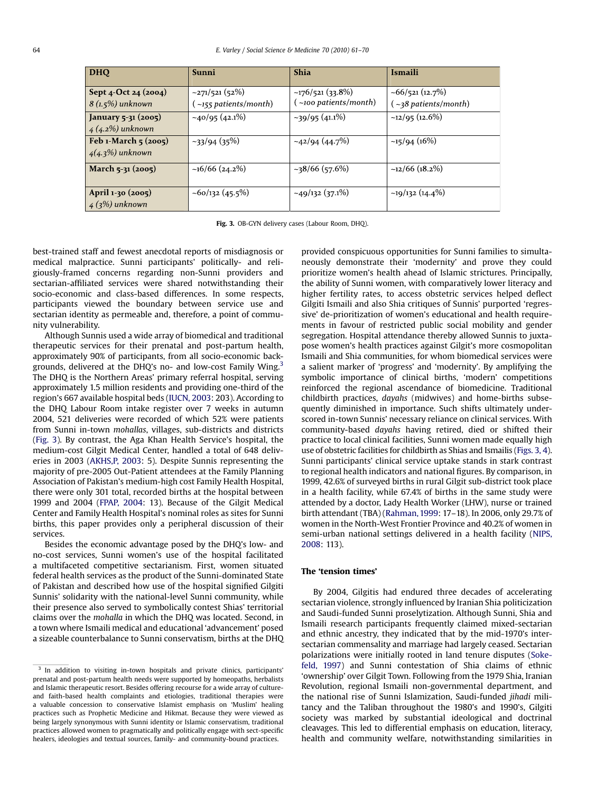<span id="page-3-0"></span>

| <b>DHQ</b>                                   | <b>Sunni</b>                                          | <b>Shia</b>                                      | Ismaili                                            |
|----------------------------------------------|-------------------------------------------------------|--------------------------------------------------|----------------------------------------------------|
| Sept $4$ -Oct 24 (2004)<br>$8(1.5%)$ unknown | $\sim$ 271/521 (52%)<br>$\left($ ~155 patients/month) | $~176/521(33.8\%)$<br>$\sim$ 100 patients/month) | $\sim$ 66/521 (12.7%)<br>$\sim$ 38 patients/month) |
| January $5-31$ (2005)<br>$4(4.2\%)$ unknown  | $\sim$ 40/95 (42.1%)                                  | $\sim$ 39/95 (41.1%)                             | $\sim$ 12/95 (12.6%)                               |
| Feb 1-March $5(2005)$<br>$4(4.3%)$ unknown   | $-33/94(35%)$                                         | $~1 - 42/94(44.7%)$                              | $\sim$ 15/94 (16%)                                 |
| March 5-31 (2005)                            | $\sim$ 16/66 (24.2%)                                  | $\sim$ 38/66 (57.6%)                             | $\sim$ 12/66 (18.2%)                               |
| April 1-30 (2005)<br>$4(3%)$ unknown         | $\sim$ 60/132 (45.5%)                                 | $-49/132(37.1\%)$                                | $\sim$ 19/132 (14.4%)                              |

Fig. 3. OB-GYN delivery cases (Labour Room, DHQ).

best-trained staff and fewest anecdotal reports of misdiagnosis or medical malpractice. Sunni participants' politically- and religiously-framed concerns regarding non-Sunni providers and sectarian-affiliated services were shared notwithstanding their socio-economic and class-based differences. In some respects, participants viewed the boundary between service use and sectarian identity as permeable and, therefore, a point of community vulnerability.

Although Sunnis used a wide array of biomedical and traditional therapeutic services for their prenatal and post-partum health, approximately 90% of participants, from all socio-economic backgrounds, delivered at the DHQ's no- and low-cost Family Wing.<sup>3</sup> The DHQ is the Northern Areas' primary referral hospital, serving approximately 1.5 million residents and providing one-third of the region's 667 available hospital beds [\(IUCN, 2003](#page-9-0): 203). According to the DHQ Labour Room intake register over 7 weeks in autumn 2004, 521 deliveries were recorded of which 52% were patients from Sunni in-town mohallas, villages, sub-districts and districts (Fig. 3). By contrast, the Aga Khan Health Service's hospital, the medium-cost Gilgit Medical Center, handled a total of 648 deliveries in 2003 [\(AKHS,P, 2003:](#page-9-0) 5). Despite Sunnis representing the majority of pre-2005 Out-Patient attendees at the Family Planning Association of Pakistan's medium-high cost Family Health Hospital, there were only 301 total, recorded births at the hospital between 1999 and 2004 ([FPAP, 2004:](#page-9-0) 13). Because of the Gilgit Medical Center and Family Health Hospital's nominal roles as sites for Sunni births, this paper provides only a peripheral discussion of their services.

Besides the economic advantage posed by the DHQ's low- and no-cost services, Sunni women's use of the hospital facilitated a multifaceted competitive sectarianism. First, women situated federal health services as the product of the Sunni-dominated State of Pakistan and described how use of the hospital signified Gilgiti Sunnis' solidarity with the national-level Sunni community, while their presence also served to symbolically contest Shias' territorial claims over the mohalla in which the DHQ was located. Second, in a town where Ismaili medical and educational 'advancement' posed a sizeable counterbalance to Sunni conservatism, births at the DHQ provided conspicuous opportunities for Sunni families to simultaneously demonstrate their 'modernity' and prove they could prioritize women's health ahead of Islamic strictures. Principally, the ability of Sunni women, with comparatively lower literacy and higher fertility rates, to access obstetric services helped deflect Gilgiti Ismaili and also Shia critiques of Sunnis' purported 'regressive' de-prioritization of women's educational and health requirements in favour of restricted public social mobility and gender segregation. Hospital attendance thereby allowed Sunnis to juxtapose women's health practices against Gilgit's more cosmopolitan Ismaili and Shia communities, for whom biomedical services were a salient marker of 'progress' and 'modernity'. By amplifying the symbolic importance of clinical births, 'modern' competitions reinforced the regional ascendance of biomedicine. Traditional childbirth practices, dayahs (midwives) and home-births subsequently diminished in importance. Such shifts ultimately underscored in-town Sunnis' necessary reliance on clinical services. With community-based dayahs having retired, died or shifted their practice to local clinical facilities, Sunni women made equally high use of obstetric facilities for childbirth as Shias and Ismailis (Figs. 3, 4). Sunni participants' clinical service uptake stands in stark contrast to regional health indicators and national figures. By comparison, in 1999, 42.6% of surveyed births in rural Gilgit sub-district took place in a health facility, while 67.4% of births in the same study were attended by a doctor, Lady Health Worker (LHW), nurse or trained birth attendant (TBA) [\(Rahman, 1999:](#page-9-0) 17–18). In 2006, only 29.7% of women in the North-West Frontier Province and 40.2% of women in semi-urban national settings delivered in a health facility [\(NIPS,](#page-9-0) [2008](#page-9-0): 113).

## The 'tension times'

By 2004, Gilgitis had endured three decades of accelerating sectarian violence, strongly influenced by Iranian Shia politicization and Saudi-funded Sunni proselytization. Although Sunni, Shia and Ismaili research participants frequently claimed mixed-sectarian and ethnic ancestry, they indicated that by the mid-1970's intersectarian commensality and marriage had largely ceased. Sectarian polarizations were initially rooted in land tenure disputes ([Soke](#page-9-0)[feld, 1997\)](#page-9-0) and Sunni contestation of Shia claims of ethnic 'ownership' over Gilgit Town. Following from the 1979 Shia, Iranian Revolution, regional Ismaili non-governmental department, and the national rise of Sunni Islamization, Saudi-funded jihadi militancy and the Taliban throughout the 1980's and 1990's, Gilgiti society was marked by substantial ideological and doctrinal cleavages. This led to differential emphasis on education, literacy, health and community welfare, notwithstanding similarities in

 $\frac{3}{3}$  In addition to visiting in-town hospitals and private clinics, participants' prenatal and post-partum health needs were supported by homeopaths, herbalists and Islamic therapeutic resort. Besides offering recourse for a wide array of cultureand faith-based health complaints and etiologies, traditional therapies were a valuable concession to conservative Islamist emphasis on 'Muslim' healing practices such as Prophetic Medicine and Hikmat. Because they were viewed as being largely synonymous with Sunni identity or Islamic conservatism, traditional practices allowed women to pragmatically and politically engage with sect-specific healers, ideologies and textual sources, family- and community-bound practices.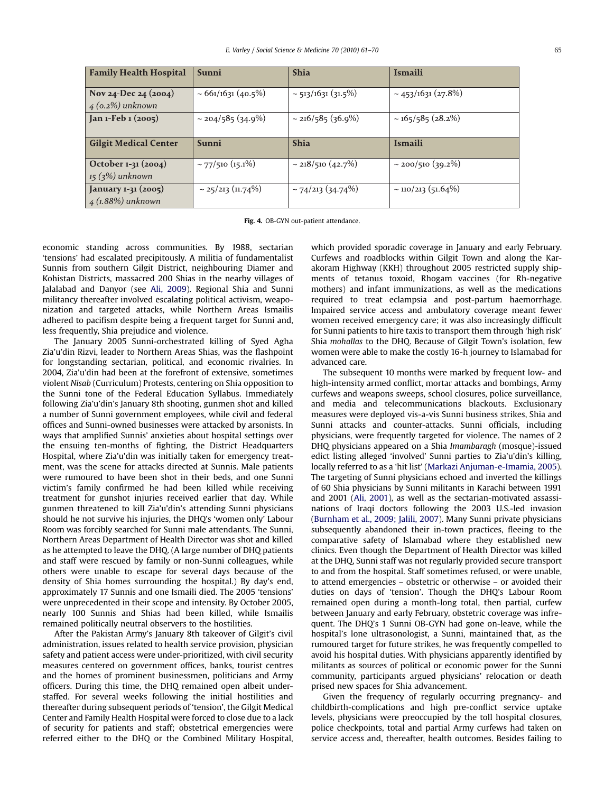| <b>Family Health Hospital</b> | Sunni                    | <b>Shia</b>             | <b>Ismaili</b>          |
|-------------------------------|--------------------------|-------------------------|-------------------------|
|                               |                          |                         |                         |
| Nov 24-Dec 24 $(2004)$        | $\sim 661/1631 (40.5\%)$ | $\sim$ 513/1631 (31.5%) | $\sim$ 453/1631 (27.8%) |
| $4(0.2\%)$ unknown            |                          |                         |                         |
| Jan 1-Feb 1 (2005)            | $\sim$ 204/585 (34.9%)   | $\sim$ 216/585 (36.9%)  | $\sim$ 165/585 (28.2%)  |
|                               |                          |                         |                         |
| <b>Gilgit Medical Center</b>  | Sunni                    | <b>Shia</b>             | <b>Ismaili</b>          |
|                               |                          |                         |                         |
| October 1-31 (2004)           | $\sim$ 77/510 (15.1%)    | $\sim$ 218/510 (42.7%)  | $\sim$ 200/510 (39.2%)  |
| $15(3%)$ unknown              |                          |                         |                         |
| January 1-31 (2005)           | $\sim$ 25/213 (11.74%)   | $\sim$ 74/213 (34.74%)  | $\sim$ 110/213 (51.64%) |
| $(1.88\%)$ unknown            |                          |                         |                         |

Fig. 4. OB-GYN out-patient attendance.

economic standing across communities. By 1988, sectarian 'tensions' had escalated precipitously. A militia of fundamentalist Sunnis from southern Gilgit District, neighbouring Diamer and Kohistan Districts, massacred 200 Shias in the nearby villages of Jalalabad and Danyor (see [Ali, 2009\)](#page-9-0). Regional Shia and Sunni militancy thereafter involved escalating political activism, weaponization and targeted attacks, while Northern Areas Ismailis adhered to pacifism despite being a frequent target for Sunni and, less frequently, Shia prejudice and violence.

The January 2005 Sunni-orchestrated killing of Syed Agha Zia'u'din Rizvi, leader to Northern Areas Shias, was the flashpoint for longstanding sectarian, political, and economic rivalries. In 2004, Zia'u'din had been at the forefront of extensive, sometimes violent Nisab (Curriculum) Protests, centering on Shia opposition to the Sunni tone of the Federal Education Syllabus. Immediately following Zia'u'din's January 8th shooting, gunmen shot and killed a number of Sunni government employees, while civil and federal offices and Sunni-owned businesses were attacked by arsonists. In ways that amplified Sunnis' anxieties about hospital settings over the ensuing ten-months of fighting, the District Headquarters Hospital, where Zia'u'din was initially taken for emergency treatment, was the scene for attacks directed at Sunnis. Male patients were rumoured to have been shot in their beds, and one Sunni victim's family confirmed he had been killed while receiving treatment for gunshot injuries received earlier that day. While gunmen threatened to kill Zia'u'din's attending Sunni physicians should he not survive his injuries, the DHQ's 'women only' Labour Room was forcibly searched for Sunni male attendants. The Sunni, Northern Areas Department of Health Director was shot and killed as he attempted to leave the DHQ. (A large number of DHQ patients and staff were rescued by family or non-Sunni colleagues, while others were unable to escape for several days because of the density of Shia homes surrounding the hospital.) By day's end, approximately 17 Sunnis and one Ismaili died. The 2005 'tensions' were unprecedented in their scope and intensity. By October 2005, nearly 100 Sunnis and Shias had been killed, while Ismailis remained politically neutral observers to the hostilities.

After the Pakistan Army's January 8th takeover of Gilgit's civil administration, issues related to health service provision, physician safety and patient access were under-prioritized, with civil security measures centered on government offices, banks, tourist centres and the homes of prominent businessmen, politicians and Army officers. During this time, the DHQ remained open albeit understaffed. For several weeks following the initial hostilities and thereafter during subsequent periods of 'tension', the Gilgit Medical Center and Family Health Hospital were forced to close due to a lack of security for patients and staff; obstetrical emergencies were referred either to the DHQ or the Combined Military Hospital, which provided sporadic coverage in January and early February. Curfews and roadblocks within Gilgit Town and along the Karakoram Highway (KKH) throughout 2005 restricted supply shipments of tetanus toxoid, Rhogam vaccines (for Rh-negative mothers) and infant immunizations, as well as the medications required to treat eclampsia and post-partum haemorrhage. Impaired service access and ambulatory coverage meant fewer women received emergency care; it was also increasingly difficult for Sunni patients to hire taxis to transport them through 'high risk' Shia mohallas to the DHQ. Because of Gilgit Town's isolation, few women were able to make the costly 16-h journey to Islamabad for advanced care.

The subsequent 10 months were marked by frequent low- and high-intensity armed conflict, mortar attacks and bombings, Army curfews and weapons sweeps, school closures, police surveillance, and media and telecommunications blackouts. Exclusionary measures were deployed vis-a-vis Sunni business strikes, Shia and Sunni attacks and counter-attacks. Sunni officials, including physicians, were frequently targeted for violence. The names of 2 DHQ physicians appeared on a Shia Imambaragh (mosque)-issued edict listing alleged 'involved' Sunni parties to Zia'u'din's killing, locally referred to as a 'hit list' [\(Markazi Anjuman-e-Imamia, 2005\)](#page-9-0). The targeting of Sunni physicians echoed and inverted the killings of 60 Shia physicians by Sunni militants in Karachi between 1991 and 2001 [\(Ali, 2001\)](#page-9-0), as well as the sectarian-motivated assassinations of Iraqi doctors following the 2003 U.S.-led invasion ([Burnham et al., 2009; Jalili, 2007](#page-9-0)). Many Sunni private physicians subsequently abandoned their in-town practices, fleeing to the comparative safety of Islamabad where they established new clinics. Even though the Department of Health Director was killed at the DHQ, Sunni staff was not regularly provided secure transport to and from the hospital. Staff sometimes refused, or were unable, to attend emergencies – obstetric or otherwise – or avoided their duties on days of 'tension'. Though the DHQ's Labour Room remained open during a month-long total, then partial, curfew between January and early February, obstetric coverage was infrequent. The DHQ's 1 Sunni OB-GYN had gone on-leave, while the hospital's lone ultrasonologist, a Sunni, maintained that, as the rumoured target for future strikes, he was frequently compelled to avoid his hospital duties. With physicians apparently identified by militants as sources of political or economic power for the Sunni community, participants argued physicians' relocation or death prised new spaces for Shia advancement.

Given the frequency of regularly occurring pregnancy- and childbirth-complications and high pre-conflict service uptake levels, physicians were preoccupied by the toll hospital closures, police checkpoints, total and partial Army curfews had taken on service access and, thereafter, health outcomes. Besides failing to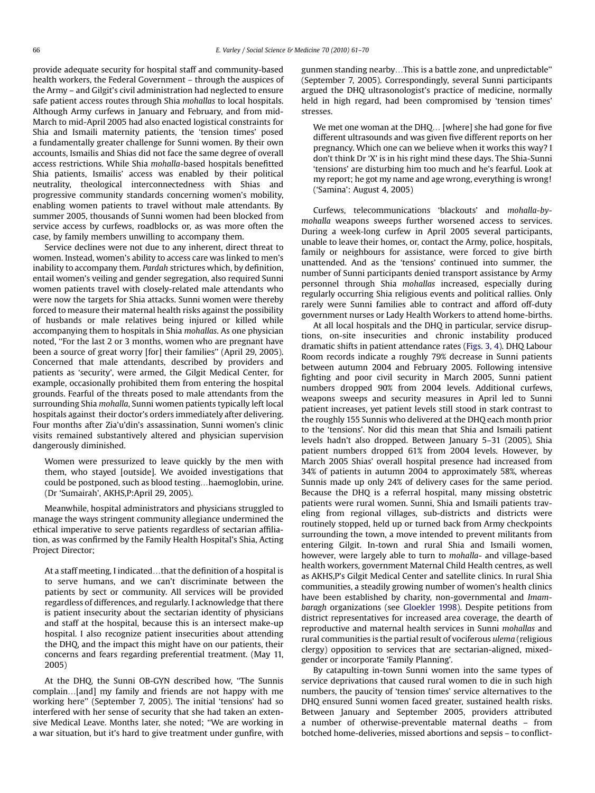provide adequate security for hospital staff and community-based health workers, the Federal Government – through the auspices of the Army – and Gilgit's civil administration had neglected to ensure safe patient access routes through Shia mohallas to local hospitals. Although Army curfews in January and February, and from mid-March to mid-April 2005 had also enacted logistical constraints for Shia and Ismaili maternity patients, the 'tension times' posed a fundamentally greater challenge for Sunni women. By their own accounts, Ismailis and Shias did not face the same degree of overall access restrictions. While Shia mohalla-based hospitals benefitted Shia patients, Ismailis' access was enabled by their political neutrality, theological interconnectedness with Shias and progressive community standards concerning women's mobility, enabling women patients to travel without male attendants. By summer 2005, thousands of Sunni women had been blocked from service access by curfews, roadblocks or, as was more often the case, by family members unwilling to accompany them.

Service declines were not due to any inherent, direct threat to women. Instead, women's ability to access care was linked to men's inability to accompany them. Pardah strictures which, by definition, entail women's veiling and gender segregation, also required Sunni women patients travel with closely-related male attendants who were now the targets for Shia attacks. Sunni women were thereby forced to measure their maternal health risks against the possibility of husbands or male relatives being injured or killed while accompanying them to hospitals in Shia mohallas. As one physician noted, ''For the last 2 or 3 months, women who are pregnant have been a source of great worry [for] their families'' (April 29, 2005). Concerned that male attendants, described by providers and patients as 'security', were armed, the Gilgit Medical Center, for example, occasionally prohibited them from entering the hospital grounds. Fearful of the threats posed to male attendants from the surrounding Shia mohalla, Sunni women patients typically left local hospitals against their doctor's orders immediately after delivering. Four months after Zia'u'din's assassination, Sunni women's clinic visits remained substantively altered and physician supervision dangerously diminished.

Women were pressurized to leave quickly by the men with them, who stayed [outside]. We avoided investigations that could be postponed, such as blood testing...haemoglobin, urine. (Dr 'Sumairah', AKHS,P:April 29, 2005).

Meanwhile, hospital administrators and physicians struggled to manage the ways stringent community allegiance undermined the ethical imperative to serve patients regardless of sectarian affiliation, as was confirmed by the Family Health Hospital's Shia, Acting Project Director;

At a staff meeting, I indicated...that the definition of a hospital is to serve humans, and we can't discriminate between the patients by sect or community. All services will be provided regardless of differences, and regularly. I acknowledge that there is patient insecurity about the sectarian identity of physicians and staff at the hospital, because this is an intersect make-up hospital. I also recognize patient insecurities about attending the DHQ, and the impact this might have on our patients, their concerns and fears regarding preferential treatment. (May 11, 2005)

At the DHQ, the Sunni OB-GYN described how, ''The Sunnis complain...[and] my family and friends are not happy with me working here'' (September 7, 2005). The initial 'tensions' had so interfered with her sense of security that she had taken an extensive Medical Leave. Months later, she noted; ''We are working in a war situation, but it's hard to give treatment under gunfire, with

gunmen standing nearby...This is a battle zone, and unpredictable" (September 7, 2005). Correspondingly, several Sunni participants argued the DHQ ultrasonologist's practice of medicine, normally held in high regard, had been compromised by 'tension times' stresses.

We met one woman at the DHQ... [where] she had gone for five different ultrasounds and was given five different reports on her pregnancy. Which one can we believe when it works this way? I don't think Dr 'X' is in his right mind these days. The Shia-Sunni 'tensions' are disturbing him too much and he's fearful. Look at my report; he got my name and age wrong, everything is wrong! ('Samina': August 4, 2005)

Curfews, telecommunications 'blackouts' and mohalla-bymohalla weapons sweeps further worsened access to services. During a week-long curfew in April 2005 several participants, unable to leave their homes, or, contact the Army, police, hospitals, family or neighbours for assistance, were forced to give birth unattended. And as the 'tensions' continued into summer, the number of Sunni participants denied transport assistance by Army personnel through Shia mohallas increased, especially during regularly occurring Shia religious events and political rallies. Only rarely were Sunni families able to contract and afford off-duty government nurses or Lady Health Workers to attend home-births.

At all local hospitals and the DHQ in particular, service disruptions, on-site insecurities and chronic instability produced dramatic shifts in patient attendance rates ([Figs. 3, 4\)](#page-3-0). DHQ Labour Room records indicate a roughly 79% decrease in Sunni patients between autumn 2004 and February 2005. Following intensive fighting and poor civil security in March 2005, Sunni patient numbers dropped 90% from 2004 levels. Additional curfews, weapons sweeps and security measures in April led to Sunni patient increases, yet patient levels still stood in stark contrast to the roughly 155 Sunnis who delivered at the DHQ each month prior to the 'tensions'. Nor did this mean that Shia and Ismaili patient levels hadn't also dropped. Between January 5–31 (2005), Shia patient numbers dropped 61% from 2004 levels. However, by March 2005 Shias' overall hospital presence had increased from 34% of patients in autumn 2004 to approximately 58%, whereas Sunnis made up only 24% of delivery cases for the same period. Because the DHQ is a referral hospital, many missing obstetric patients were rural women. Sunni, Shia and Ismaili patients traveling from regional villages, sub-districts and districts were routinely stopped, held up or turned back from Army checkpoints surrounding the town, a move intended to prevent militants from entering Gilgit. In-town and rural Shia and Ismaili women, however, were largely able to turn to mohalla- and village-based health workers, government Maternal Child Health centres, as well as AKHS,P's Gilgit Medical Center and satellite clinics. In rural Shia communities, a steadily growing number of women's health clinics have been established by charity, non-governmental and Imambaragh organizations (see [Gloekler 1998\)](#page-9-0). Despite petitions from district representatives for increased area coverage, the dearth of reproductive and maternal health services in Sunni mohallas and rural communities is the partial result of vociferous ulema (religious clergy) opposition to services that are sectarian-aligned, mixedgender or incorporate 'Family Planning'.

By catapulting in-town Sunni women into the same types of service deprivations that caused rural women to die in such high numbers, the paucity of 'tension times' service alternatives to the DHQ ensured Sunni women faced greater, sustained health risks. Between January and September 2005, providers attributed a number of otherwise-preventable maternal deaths – from botched home-deliveries, missed abortions and sepsis – to conflict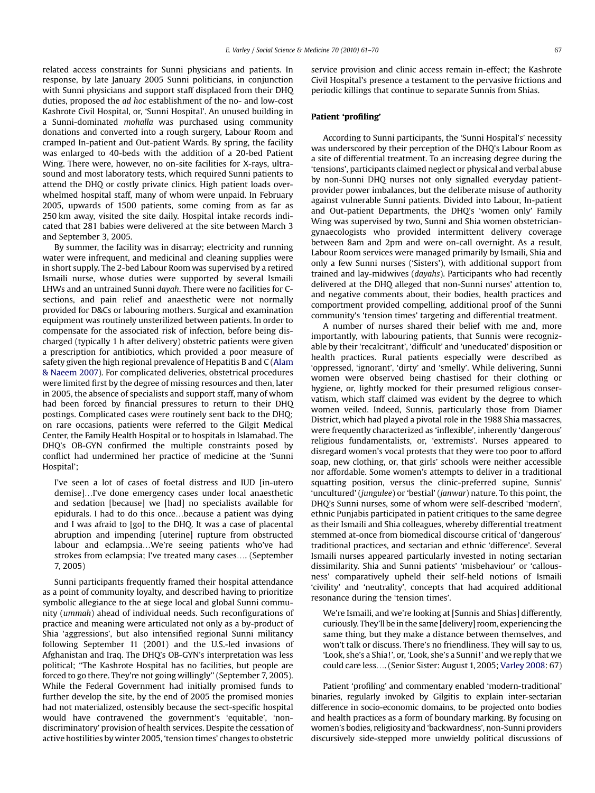related access constraints for Sunni physicians and patients. In response, by late January 2005 Sunni politicians, in conjunction with Sunni physicians and support staff displaced from their DHQ duties, proposed the ad hoc establishment of the no- and low-cost Kashrote Civil Hospital, or, 'Sunni Hospital'. An unused building in a Sunni-dominated mohalla was purchased using community donations and converted into a rough surgery, Labour Room and cramped In-patient and Out-patient Wards. By spring, the facility was enlarged to 40-beds with the addition of a 20-bed Patient Wing. There were, however, no on-site facilities for X-rays, ultrasound and most laboratory tests, which required Sunni patients to attend the DHQ or costly private clinics. High patient loads overwhelmed hospital staff, many of whom were unpaid. In February 2005, upwards of 1500 patients, some coming from as far as 250 km away, visited the site daily. Hospital intake records indicated that 281 babies were delivered at the site between March 3 and September 3, 2005.

By summer, the facility was in disarray; electricity and running water were infrequent, and medicinal and cleaning supplies were in short supply. The 2-bed Labour Room was supervised by a retired Ismaili nurse, whose duties were supported by several Ismaili LHWs and an untrained Sunni dayah. There were no facilities for Csections, and pain relief and anaesthetic were not normally provided for D&Cs or labouring mothers. Surgical and examination equipment was routinely unsterilized between patients. In order to compensate for the associated risk of infection, before being discharged (typically 1 h after delivery) obstetric patients were given a prescription for antibiotics, which provided a poor measure of safety given the high regional prevalence of Hepatitis B and C ([Alam](#page-9-0) [& Naeem 2007\)](#page-9-0). For complicated deliveries, obstetrical procedures were limited first by the degree of missing resources and then, later in 2005, the absence of specialists and support staff, many of whom had been forced by financial pressures to return to their DHQ postings. Complicated cases were routinely sent back to the DHQ; on rare occasions, patients were referred to the Gilgit Medical Center, the Family Health Hospital or to hospitals in Islamabad. The DHQ's OB-GYN confirmed the multiple constraints posed by conflict had undermined her practice of medicine at the 'Sunni Hospital';

I've seen a lot of cases of foetal distress and IUD [in-utero demise]...I've done emergency cases under local anaesthetic and sedation [because] we [had] no specialists available for epidurals. I had to do this once...because a patient was dying and I was afraid to [go] to the DHQ. It was a case of placental abruption and impending [uterine] rupture from obstructed labour and eclampsia...We're seeing patients who've had strokes from eclampsia; I've treated many cases.. (September 7, 2005)

Sunni participants frequently framed their hospital attendance as a point of community loyalty, and described having to prioritize symbolic allegiance to the at siege local and global Sunni community (ummah) ahead of individual needs. Such reconfigurations of practice and meaning were articulated not only as a by-product of Shia 'aggressions', but also intensified regional Sunni militancy following September 11 (2001) and the U.S.-led invasions of Afghanistan and Iraq. The DHQ's OB-GYN's interpretation was less political; ''The Kashrote Hospital has no facilities, but people are forced to go there. They're not going willingly'' (September 7, 2005). While the Federal Government had initially promised funds to further develop the site, by the end of 2005 the promised monies had not materialized, ostensibly because the sect-specific hospital would have contravened the government's 'equitable', 'nondiscriminatory' provision of health services. Despite the cessation of active hostilities by winter 2005, 'tension times' changes to obstetric

service provision and clinic access remain in-effect; the Kashrote Civil Hospital's presence a testament to the pervasive frictions and periodic killings that continue to separate Sunnis from Shias.

## Patient 'profiling'

According to Sunni participants, the 'Sunni Hospital's' necessity was underscored by their perception of the DHQ's Labour Room as a site of differential treatment. To an increasing degree during the 'tensions', participants claimed neglect or physical and verbal abuse by non-Sunni DHQ nurses not only signalled everyday patientprovider power imbalances, but the deliberate misuse of authority against vulnerable Sunni patients. Divided into Labour, In-patient and Out-patient Departments, the DHQ's 'women only' Family Wing was supervised by two, Sunni and Shia women obstetriciangynaecologists who provided intermittent delivery coverage between 8am and 2pm and were on-call overnight. As a result, Labour Room services were managed primarily by Ismaili, Shia and only a few Sunni nurses ('Sisters'), with additional support from trained and lay-midwives (dayahs). Participants who had recently delivered at the DHQ alleged that non-Sunni nurses' attention to, and negative comments about, their bodies, health practices and comportment provided compelling, additional proof of the Sunni community's 'tension times' targeting and differential treatment.

A number of nurses shared their belief with me and, more importantly, with labouring patients, that Sunnis were recognizable by their 'recalcitrant', 'difficult' and 'uneducated' disposition or health practices. Rural patients especially were described as 'oppressed, 'ignorant', 'dirty' and 'smelly'. While delivering, Sunni women were observed being chastised for their clothing or hygiene, or, lightly mocked for their presumed religious conservatism, which staff claimed was evident by the degree to which women veiled. Indeed, Sunnis, particularly those from Diamer District, which had played a pivotal role in the 1988 Shia massacres, were frequently characterized as 'inflexible', inherently 'dangerous' religious fundamentalists, or, 'extremists'. Nurses appeared to disregard women's vocal protests that they were too poor to afford soap, new clothing, or, that girls' schools were neither accessible nor affordable. Some women's attempts to deliver in a traditional squatting position, versus the clinic-preferred supine, Sunnis' 'uncultured' (jungulee) or 'bestial' (janwar) nature. To this point, the DHQ's Sunni nurses, some of whom were self-described 'modern', ethnic Punjabis participated in patient critiques to the same degree as their Ismaili and Shia colleagues, whereby differential treatment stemmed at-once from biomedical discourse critical of 'dangerous' traditional practices, and sectarian and ethnic 'difference'. Several Ismaili nurses appeared particularly invested in noting sectarian dissimilarity. Shia and Sunni patients' 'misbehaviour' or 'callousness' comparatively upheld their self-held notions of Ismaili 'civility' and 'neutrality', concepts that had acquired additional resonance during the 'tension times'.

We're Ismaili, and we're looking at [Sunnis and Shias] differently, curiously. They'll be in the same [delivery] room, experiencing the same thing, but they make a distance between themselves, and won't talk or discuss. There's no friendliness. They will say to us, 'Look, she's a Shia!', or, 'Look, she's a Sunni!' and we reply that we could care less.. (Senior Sister: August 1, 2005; [Varley 2008:](#page-9-0) 67)

Patient 'profiling' and commentary enabled 'modern-traditional' binaries, regularly invoked by Gilgitis to explain inter-sectarian difference in socio-economic domains, to be projected onto bodies and health practices as a form of boundary marking. By focusing on women's bodies, religiosity and 'backwardness', non-Sunni providers discursively side-stepped more unwieldy political discussions of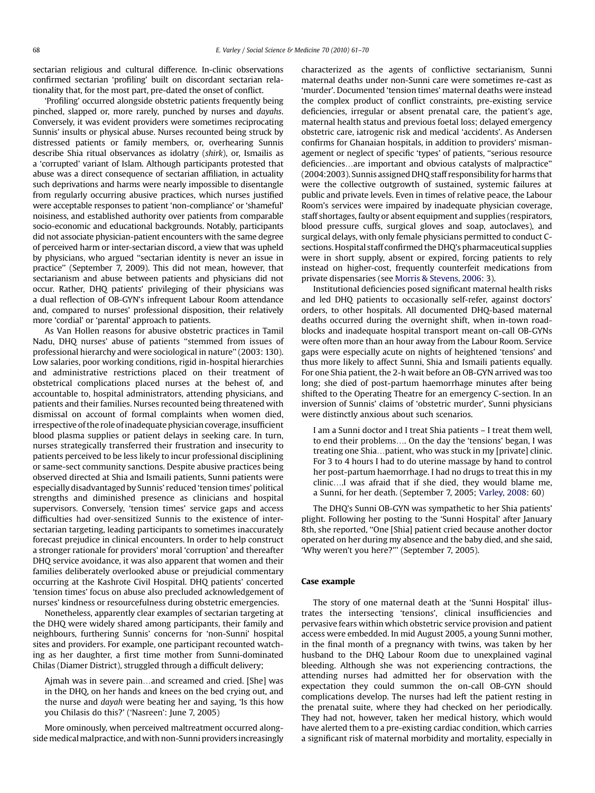sectarian religious and cultural difference. In-clinic observations confirmed sectarian 'profiling' built on discordant sectarian relationality that, for the most part, pre-dated the onset of conflict.

'Profiling' occurred alongside obstetric patients frequently being pinched, slapped or, more rarely, punched by nurses and dayahs. Conversely, it was evident providers were sometimes reciprocating Sunnis' insults or physical abuse. Nurses recounted being struck by distressed patients or family members, or, overhearing Sunnis describe Shia ritual observances as idolatry (shirk), or, Ismailis as a 'corrupted' variant of Islam. Although participants protested that abuse was a direct consequence of sectarian affiliation, in actuality such deprivations and harms were nearly impossible to disentangle from regularly occurring abusive practices, which nurses justified were acceptable responses to patient 'non-compliance' or 'shameful' noisiness, and established authority over patients from comparable socio-economic and educational backgrounds. Notably, participants did not associate physician-patient encounters with the same degree of perceived harm or inter-sectarian discord, a view that was upheld by physicians, who argued ''sectarian identity is never an issue in practice'' (September 7, 2009). This did not mean, however, that sectarianism and abuse between patients and physicians did not occur. Rather, DHQ patients' privileging of their physicians was a dual reflection of OB-GYN's infrequent Labour Room attendance and, compared to nurses' professional disposition, their relatively more 'cordial' or 'parental' approach to patients.

As Van Hollen reasons for abusive obstetric practices in Tamil Nadu, DHQ nurses' abuse of patients ''stemmed from issues of professional hierarchy and were sociological in nature'' (2003: 130). Low salaries, poor working conditions, rigid in-hospital hierarchies and administrative restrictions placed on their treatment of obstetrical complications placed nurses at the behest of, and accountable to, hospital administrators, attending physicians, and patients and their families. Nurses recounted being threatened with dismissal on account of formal complaints when women died, irrespective of the role of inadequate physician coverage, insufficient blood plasma supplies or patient delays in seeking care. In turn, nurses strategically transferred their frustration and insecurity to patients perceived to be less likely to incur professional disciplining or same-sect community sanctions. Despite abusive practices being observed directed at Shia and Ismaili patients, Sunni patients were especially disadvantaged by Sunnis' reduced 'tension times' political strengths and diminished presence as clinicians and hospital supervisors. Conversely, 'tension times' service gaps and access difficulties had over-sensitized Sunnis to the existence of intersectarian targeting, leading participants to sometimes inaccurately forecast prejudice in clinical encounters. In order to help construct a stronger rationale for providers' moral 'corruption' and thereafter DHQ service avoidance, it was also apparent that women and their families deliberately overlooked abuse or prejudicial commentary occurring at the Kashrote Civil Hospital. DHQ patients' concerted 'tension times' focus on abuse also precluded acknowledgement of nurses' kindness or resourcefulness during obstetric emergencies.

Nonetheless, apparently clear examples of sectarian targeting at the DHQ were widely shared among participants, their family and neighbours, furthering Sunnis' concerns for 'non-Sunni' hospital sites and providers. For example, one participant recounted watching as her daughter, a first time mother from Sunni-dominated Chilas (Diamer District), struggled through a difficult delivery;

Ajmah was in severe pain...and screamed and cried. [She] was in the DHQ, on her hands and knees on the bed crying out, and the nurse and dayah were beating her and saying, 'Is this how you Chilasis do this?' ('Nasreen': June 7, 2005)

More ominously, when perceived maltreatment occurred alongside medical malpractice, and with non-Sunni providers increasingly characterized as the agents of conflictive sectarianism, Sunni maternal deaths under non-Sunni care were sometimes re-cast as 'murder'. Documented 'tension times' maternal deaths were instead the complex product of conflict constraints, pre-existing service deficiencies, irregular or absent prenatal care, the patient's age, maternal health status and previous foetal loss; delayed emergency obstetric care, iatrogenic risk and medical 'accidents'. As Andersen confirms for Ghanaian hospitals, in addition to providers' mismanagement or neglect of specific 'types' of patients, ''serious resource deficiencies...are important and obvious catalysts of malpractice" (2004:2003). Sunnis assigned DHQ staff responsibility for harms that were the collective outgrowth of sustained, systemic failures at public and private levels. Even in times of relative peace, the Labour Room's services were impaired by inadequate physician coverage, staff shortages, faulty or absent equipment and supplies (respirators, blood pressure cuffs, surgical gloves and soap, autoclaves), and surgical delays, with only female physicians permitted to conduct Csections. Hospital staff confirmed the DHQ's pharmaceutical supplies were in short supply, absent or expired, forcing patients to rely instead on higher-cost, frequently counterfeit medications from private dispensaries (see [Morris & Stevens, 2006:](#page-9-0) 3).

Institutional deficiencies posed significant maternal health risks and led DHQ patients to occasionally self-refer, against doctors' orders, to other hospitals. All documented DHQ-based maternal deaths occurred during the overnight shift, when in-town roadblocks and inadequate hospital transport meant on-call OB-GYNs were often more than an hour away from the Labour Room. Service gaps were especially acute on nights of heightened 'tensions' and thus more likely to affect Sunni, Shia and Ismaili patients equally. For one Shia patient, the 2-h wait before an OB-GYN arrived was too long; she died of post-partum haemorrhage minutes after being shifted to the Operating Theatre for an emergency C-section. In an inversion of Sunnis' claims of 'obstetric murder', Sunni physicians were distinctly anxious about such scenarios.

I am a Sunni doctor and I treat Shia patients – I treat them well, to end their problems.. On the day the 'tensions' began, I was treating one Shia...patient, who was stuck in my [private] clinic. For 3 to 4 hours I had to do uterine massage by hand to control her post-partum haemorrhage. I had no drugs to treat this in my clinic..I was afraid that if she died, they would blame me, a Sunni, for her death. (September 7, 2005; [Varley, 2008](#page-9-0): 60)

The DHQ's Sunni OB-GYN was sympathetic to her Shia patients' plight. Following her posting to the 'Sunni Hospital' after January 8th, she reported, ''One [Shia] patient cried because another doctor operated on her during my absence and the baby died, and she said, 'Why weren't you here?''' (September 7, 2005).

## Case example

The story of one maternal death at the 'Sunni Hospital' illustrates the intersecting 'tensions', clinical insufficiencies and pervasive fears within which obstetric service provision and patient access were embedded. In mid August 2005, a young Sunni mother, in the final month of a pregnancy with twins, was taken by her husband to the DHQ Labour Room due to unexplained vaginal bleeding. Although she was not experiencing contractions, the attending nurses had admitted her for observation with the expectation they could summon the on-call OB-GYN should complications develop. The nurses had left the patient resting in the prenatal suite, where they had checked on her periodically. They had not, however, taken her medical history, which would have alerted them to a pre-existing cardiac condition, which carries a significant risk of maternal morbidity and mortality, especially in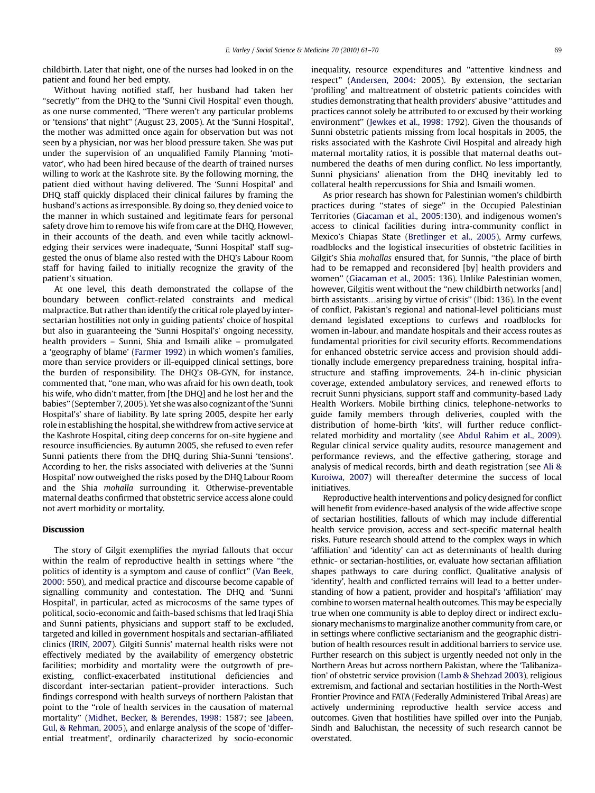childbirth. Later that night, one of the nurses had looked in on the patient and found her bed empty.

Without having notified staff, her husband had taken her "secretly" from the DHQ to the 'Sunni Civil Hospital' even though, as one nurse commented, ''There weren't any particular problems or 'tensions' that night'' (August 23, 2005). At the 'Sunni Hospital', the mother was admitted once again for observation but was not seen by a physician, nor was her blood pressure taken. She was put under the supervision of an unqualified Family Planning 'motivator', who had been hired because of the dearth of trained nurses willing to work at the Kashrote site. By the following morning, the patient died without having delivered. The 'Sunni Hospital' and DHQ staff quickly displaced their clinical failures by framing the husband's actions as irresponsible. By doing so, they denied voice to the manner in which sustained and legitimate fears for personal safety drove him to remove his wife from care at the DHQ. However, in their accounts of the death, and even while tacitly acknowledging their services were inadequate, 'Sunni Hospital' staff suggested the onus of blame also rested with the DHQ's Labour Room staff for having failed to initially recognize the gravity of the patient's situation.

At one level, this death demonstrated the collapse of the boundary between conflict-related constraints and medical malpractice. But rather than identify the critical role played by intersectarian hostilities not only in guiding patients' choice of hospital but also in guaranteeing the 'Sunni Hospital's' ongoing necessity, health providers – Sunni, Shia and Ismaili alike – promulgated a 'geography of blame' ([Farmer 1992](#page-9-0)) in which women's families, more than service providers or ill-equipped clinical settings, bore the burden of responsibility. The DHQ's OB-GYN, for instance, commented that, ''one man, who was afraid for his own death, took his wife, who didn't matter, from [the DHQ] and he lost her and the babies'' (September 7, 2005). Yet she was also cognizant of the 'Sunni Hospital's' share of liability. By late spring 2005, despite her early role in establishing the hospital, she withdrew from active service at the Kashrote Hospital, citing deep concerns for on-site hygiene and resource insufficiencies. By autumn 2005, she refused to even refer Sunni patients there from the DHQ during Shia-Sunni 'tensions'. According to her, the risks associated with deliveries at the 'Sunni Hospital' now outweighed the risks posed by the DHQ Labour Room and the Shia mohalla surrounding it. Otherwise-preventable maternal deaths confirmed that obstetric service access alone could not avert morbidity or mortality.

#### Discussion

The story of Gilgit exemplifies the myriad fallouts that occur within the realm of reproductive health in settings where ''the politics of identity is a symptom and cause of conflict'' [\(Van Beek,](#page-9-0) [2000](#page-9-0): 550), and medical practice and discourse become capable of signalling community and contestation. The DHQ and 'Sunni Hospital', in particular, acted as microcosms of the same types of political, socio-economic and faith-based schisms that led Iraqi Shia and Sunni patients, physicians and support staff to be excluded, targeted and killed in government hospitals and sectarian-affiliated clinics ([IRIN, 2007\)](#page-9-0). Gilgiti Sunnis' maternal health risks were not effectively mediated by the availability of emergency obstetric facilities; morbidity and mortality were the outgrowth of preexisting, conflict-exacerbated institutional deficiencies and discordant inter-sectarian patient–provider interactions. Such findings correspond with health surveys of northern Pakistan that point to the ''role of health services in the causation of maternal mortality'' [\(Midhet, Becker, & Berendes, 1998](#page-9-0): 1587; see [Jabeen,](#page-9-0) [Gul, & Rehman, 2005\)](#page-9-0), and enlarge analysis of the scope of 'differential treatment', ordinarily characterized by socio-economic inequality, resource expenditures and ''attentive kindness and respect'' [\(Andersen, 2004:](#page-9-0) 2005). By extension, the sectarian 'profiling' and maltreatment of obstetric patients coincides with studies demonstrating that health providers' abusive ''attitudes and practices cannot solely be attributed to or excused by their working environment'' [\(Jewkes et al., 1998](#page-9-0): 1792). Given the thousands of Sunni obstetric patients missing from local hospitals in 2005, the risks associated with the Kashrote Civil Hospital and already high maternal mortality ratios, it is possible that maternal deaths outnumbered the deaths of men during conflict. No less importantly, Sunni physicians' alienation from the DHQ inevitably led to collateral health repercussions for Shia and Ismaili women.

As prior research has shown for Palestinian women's childbirth practices during ''states of siege'' in the Occupied Palestinian Territories ([Giacaman et al., 2005](#page-9-0):130), and indigenous women's access to clinical facilities during intra-community conflict in Mexico's Chiapas State ([Bretlinger et al., 2005\)](#page-9-0), Army curfews, roadblocks and the logistical insecurities of obstetric facilities in Gilgit's Shia mohallas ensured that, for Sunnis, ''the place of birth had to be remapped and reconsidered [by] health providers and women'' ([Giacaman et al., 2005](#page-9-0): 136). Unlike Palestinian women, however, Gilgitis went without the "new childbirth networks [and] birth assistants...arising by virtue of crisis" (Ibid: 136). In the event of conflict, Pakistan's regional and national-level politicians must demand legislated exceptions to curfews and roadblocks for women in-labour, and mandate hospitals and their access routes as fundamental priorities for civil security efforts. Recommendations for enhanced obstetric service access and provision should additionally include emergency preparedness training, hospital infrastructure and staffing improvements, 24-h in-clinic physician coverage, extended ambulatory services, and renewed efforts to recruit Sunni physicians, support staff and community-based Lady Health Workers. Mobile birthing clinics, telephone-networks to guide family members through deliveries, coupled with the distribution of home-birth 'kits', will further reduce conflictrelated morbidity and mortality (see [Abdul Rahim et al., 2009\)](#page-9-0). Regular clinical service quality audits, resource management and performance reviews, and the effective gathering, storage and analysis of medical records, birth and death registration (see [Ali &](#page-9-0) [Kuroiwa, 2007](#page-9-0)) will thereafter determine the success of local initiatives.

Reproductive health interventions and policy designed for conflict will benefit from evidence-based analysis of the wide affective scope of sectarian hostilities, fallouts of which may include differential health service provision, access and sect-specific maternal health risks. Future research should attend to the complex ways in which 'affiliation' and 'identity' can act as determinants of health during ethnic- or sectarian-hostilities, or, evaluate how sectarian affiliation shapes pathways to care during conflict. Qualitative analysis of 'identity', health and conflicted terrains will lead to a better understanding of how a patient, provider and hospital's 'affiliation' may combine to worsen maternal health outcomes. This may be especially true when one community is able to deploy direct or indirect exclusionary mechanisms to marginalize another community from care, or in settings where conflictive sectarianism and the geographic distribution of health resources result in additional barriers to service use. Further research on this subject is urgently needed not only in the Northern Areas but across northern Pakistan, where the 'Talibanization' of obstetric service provision [\(Lamb & Shehzad 2003\)](#page-9-0), religious extremism, and factional and sectarian hostilities in the North-West Frontier Province and FATA (Federally Administered Tribal Areas) are actively undermining reproductive health service access and outcomes. Given that hostilities have spilled over into the Punjab, Sindh and Baluchistan, the necessity of such research cannot be overstated.